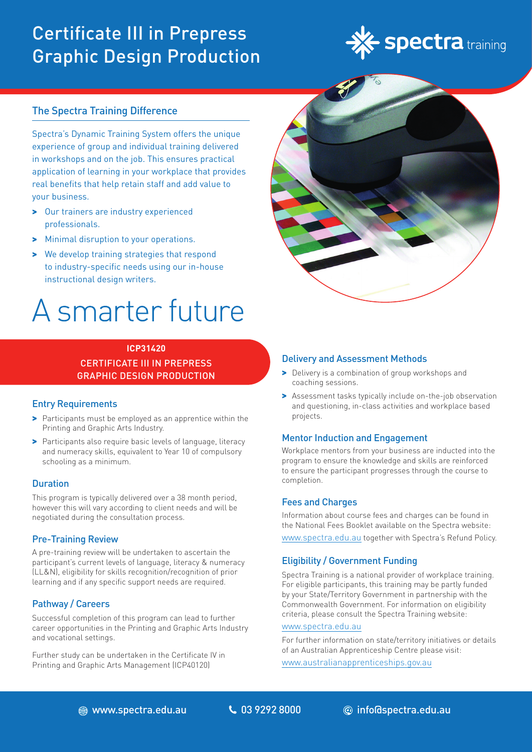# Certificate III in Prepress Graphic Design Production



# The Spectra Training Difference

Spectra's Dynamic Training System offers the unique experience of group and individual training delivered in workshops and on the job. This ensures practical application of learning in your workplace that provides real benefits that help retain staff and add value to your business.

- > Our trainers are industry experienced professionals.
- > Minimal disruption to your operations.
- > We develop training strategies that respond to industry-specific needs using our in-house instructional design writers.

# A smarter future

# **ICP31420** CERTIFICATE III IN PREPRESS GRAPHIC DESIGN PRODUCTION

# Entry Requirements

- > Participants must be employed as an apprentice within the Printing and Graphic Arts Industry.
- > Participants also require basic levels of language, literacy and numeracy skills, equivalent to Year 10 of compulsory schooling as a minimum.

# **Duration**

This program is typically delivered over a 38 month period, however this will vary according to client needs and will be negotiated during the consultation process.

# Pre-Training Review

A pre-training review will be undertaken to ascertain the participant's current levels of language, literacy & numeracy (LL&N), eligibility for skills recognition/recognition of prior learning and if any specific support needs are required.

# Pathway / Careers

Successful completion of this program can lead to further career opportunities in the Printing and Graphic Arts Industry and vocational settings.

Further study can be undertaken in the Certificate IV in Printing and Graphic Arts Management (ICP40120)



# Delivery and Assessment Methods

- > Delivery is a combination of group workshops and coaching sessions.
- > Assessment tasks typically include on-the-job observation and questioning, in-class activities and workplace based projects.

# Mentor Induction and Engagement

Workplace mentors from your business are inducted into the program to ensure the knowledge and skills are reinforced to ensure the participant progresses through the course to completion.

#### Fees and Charges

Information about course fees and charges can be found in the National Fees Booklet available on the Spectra website: [www.spectra.edu.au](https://www.spectra.edu.au/) together with Spectra's Refund Policy.

# Eligibility / Government Funding

Spectra Training is a national provider of workplace training. For eligible participants, this training may be partly funded by your State/Territory Government in partnership with the Commonwealth Government. For information on eligibility criteria, please consult the Spectra Training website:

#### [www.spectra.edu.au](https://www.spectra.edu.au/)

For further information on state/territory initiatives or details of an Australian Apprenticeship Centre please visit:

[www.australianapprenticeships.gov.au](https://www.australianapprenticeships.gov.au/)